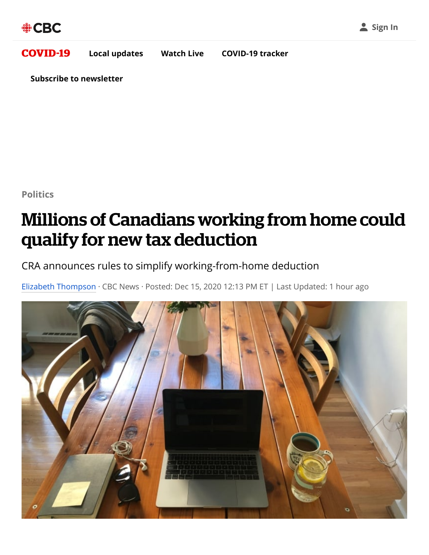## [COVID](https://www.cbc.ca/news/covid-19)-19 **[Local updates](https://www.cbc.ca/news/local) [Watch Live](https://www.cbc.ca/player/news/live) [COVID-19 tracker](https://newsinteractives.cbc.ca/coronavirustracker/)**

**[Subscribe to newsletter](https://subscriptions.cbc.ca/listmanagement/forms/coronavirusbrief?cmp=feed-gen_coronavirusbrief_newsletter-subscribe)**

**[Politics](https://www.cbc.ca/news/politics)**

## Millions of Canadians working from home could qualify for new tax deduction

CRA announces rules to simplify working-from-home deduction

[Elizabeth Thompson](https://www.cbc.ca/news/politics/elizabeth-thompson-1.3807474) · CBC News · Posted: Dec 15, 2020 12:13 PM ET | Last Updated: 1 hour ago

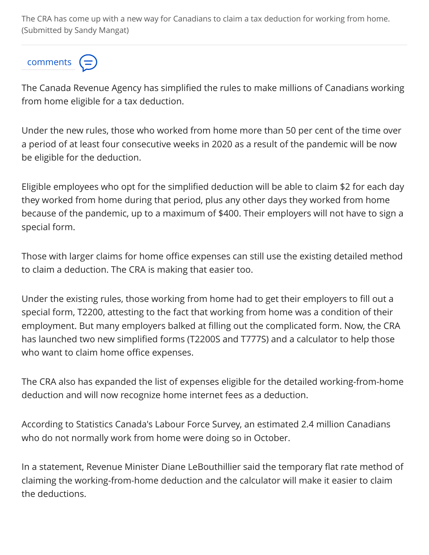The CRA has come up with a new way for Canadians to claim a tax deduction for working from home. (Submitted by Sandy Mangat)

## comments

The Canada Revenue Agency has simplified the rules to make millions of Canadians working from home eligible for a tax deduction.

Under the new rules, those who worked from home more than 50 per cent of the time over a period of at least four consecutive weeks in 2020 as a result of the pandemic will be now be eligible for the deduction.

Eligible employees who opt for the simplified deduction will be able to claim \$2 for each day they worked from home during that period, plus any other days they worked from home because of the pandemic, up to a maximum of \$400. Their employers will not have to sign a special form.

Those with larger claims for home office expenses can still use the existing detailed method to claim a deduction. The CRA is making that easier too.

Under the existing rules, those working from home had to get their employers to fill out a special form, T2200, attesting to the fact that working from home was a condition of their employment. But many employers balked at filling out the complicated form. Now, the CRA has launched two new simplified forms (T2200S and T777S) and a calculator to help those who want to claim home office expenses.

The CRA also has expanded the list of expenses eligible for the detailed working-from-home deduction and will now recognize home internet fees as a deduction.

According to Statistics Canada's Labour Force Survey, an estimated 2.4 million Canadians who do not normally work from home were doing so in October.

In a statement, Revenue Minister Diane LeBouthillier said the temporary flat rate method of claiming the working-from-home deduction and the calculator will make it easier to claim the deductions.